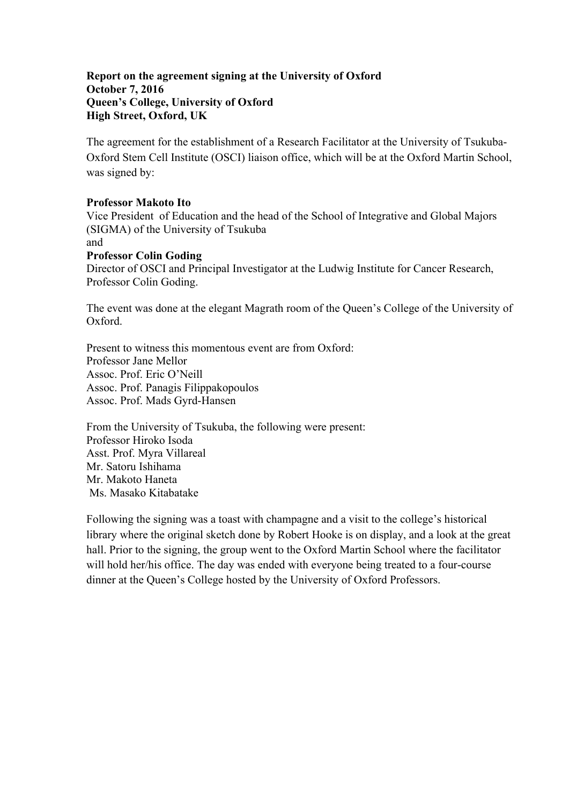## **Report on the agreement signing at the University of Oxford October 7, 2016 Queen's College, University of Oxford High Street, Oxford, UK**

The agreement for the establishment of a Research Facilitator at the University of Tsukuba-Oxford Stem Cell Institute (OSCI) liaison office, which will be at the Oxford Martin School, was signed by:

## **Professor Makoto Ito**

Vice President of Education and the head of the School of Integrative and Global Majors (SIGMA) of the University of Tsukuba

## and

## **Professor Colin Goding**

Director of OSCI and Principal Investigator at the Ludwig Institute for Cancer Research, Professor Colin Goding.

The event was done at the elegant Magrath room of the Queen's College of the University of Oxford.

Present to witness this momentous event are from Oxford<sup>.</sup> Professor Jane Mellor Assoc. Prof. Eric O'Neill Assoc. Prof. Panagis Filippakopoulos Assoc. Prof. Mads Gyrd-Hansen

From the University of Tsukuba, the following were present: Professor Hiroko Isoda Asst. Prof. Myra Villareal Mr. Satoru Ishihama Mr. Makoto Haneta Ms. Masako Kitabatake

Following the signing was a toast with champagne and a visit to the college's historical library where the original sketch done by Robert Hooke is on display, and a look at the great hall. Prior to the signing, the group went to the Oxford Martin School where the facilitator will hold her/his office. The day was ended with everyone being treated to a four-course dinner at the Queen's College hosted by the University of Oxford Professors.